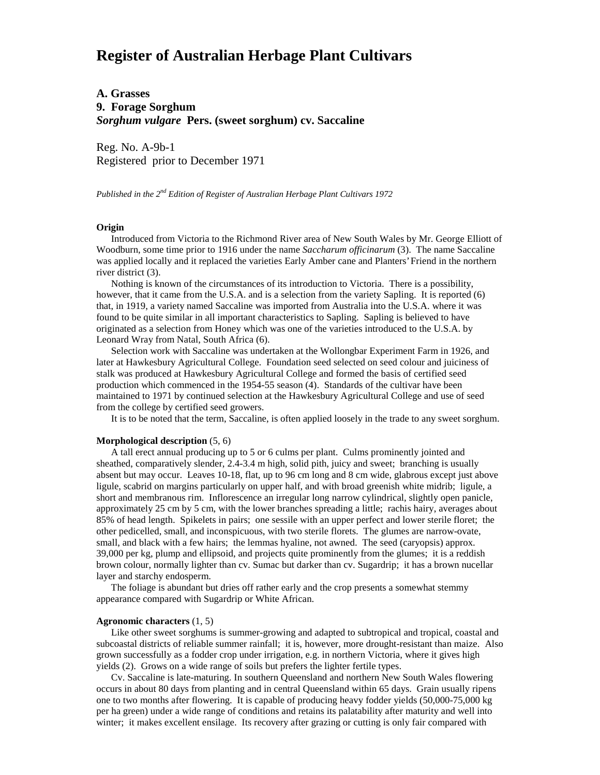# **Register of Australian Herbage Plant Cultivars**

**A. Grasses 9. Forage Sorghum** *Sorghum vulgare* **Pers. (sweet sorghum) cv. Saccaline**

Reg. No. A-9b-1 Registered prior to December 1971

*Published in the 2nd Edition of Register of Australian Herbage Plant Cultivars 1972*

### **Origin**

 Introduced from Victoria to the Richmond River area of New South Wales by Mr. George Elliott of Woodburn, some time prior to 1916 under the name *Saccharum officinarum* (3). The name Saccaline was applied locally and it replaced the varieties Early Amber cane and Planters' Friend in the northern river district (3).

 Nothing is known of the circumstances of its introduction to Victoria. There is a possibility, however, that it came from the U.S.A. and is a selection from the variety Sapling. It is reported (6) that, in 1919, a variety named Saccaline was imported from Australia into the U.S.A. where it was found to be quite similar in all important characteristics to Sapling. Sapling is believed to have originated as a selection from Honey which was one of the varieties introduced to the U.S.A. by Leonard Wray from Natal, South Africa (6).

 Selection work with Saccaline was undertaken at the Wollongbar Experiment Farm in 1926, and later at Hawkesbury Agricultural College. Foundation seed selected on seed colour and juiciness of stalk was produced at Hawkesbury Agricultural College and formed the basis of certified seed production which commenced in the 1954-55 season (4). Standards of the cultivar have been maintained to 1971 by continued selection at the Hawkesbury Agricultural College and use of seed from the college by certified seed growers.

It is to be noted that the term, Saccaline, is often applied loosely in the trade to any sweet sorghum.

### **Morphological description** (5, 6)

 A tall erect annual producing up to 5 or 6 culms per plant. Culms prominently jointed and sheathed, comparatively slender, 2.4-3.4 m high, solid pith, juicy and sweet; branching is usually absent but may occur. Leaves 10-18, flat, up to 96 cm long and 8 cm wide, glabrous except just above ligule, scabrid on margins particularly on upper half, and with broad greenish white midrib; ligule, a short and membranous rim. Inflorescence an irregular long narrow cylindrical, slightly open panicle, approximately 25 cm by 5 cm, with the lower branches spreading a little; rachis hairy, averages about 85% of head length. Spikelets in pairs; one sessile with an upper perfect and lower sterile floret; the other pedicelled, small, and inconspicuous, with two sterile florets. The glumes are narrow-ovate, small, and black with a few hairs; the lemmas hyaline, not awned. The seed (caryopsis) approx. 39,000 per kg, plump and ellipsoid, and projects quite prominently from the glumes; it is a reddish brown colour, normally lighter than cv. Sumac but darker than cv. Sugardrip; it has a brown nucellar layer and starchy endosperm.

 The foliage is abundant but dries off rather early and the crop presents a somewhat stemmy appearance compared with Sugardrip or White African.

#### **Agronomic characters** (1, 5)

 Like other sweet sorghums is summer-growing and adapted to subtropical and tropical, coastal and subcoastal districts of reliable summer rainfall; it is, however, more drought-resistant than maize. Also grown successfully as a fodder crop under irrigation, e.g. in northern Victoria, where it gives high yields (2). Grows on a wide range of soils but prefers the lighter fertile types.

 Cv. Saccaline is late-maturing. In southern Queensland and northern New South Wales flowering occurs in about 80 days from planting and in central Queensland within 65 days. Grain usually ripens one to two months after flowering. It is capable of producing heavy fodder yields (50,000-75,000 kg per ha green) under a wide range of conditions and retains its palatability after maturity and well into winter; it makes excellent ensilage. Its recovery after grazing or cutting is only fair compared with